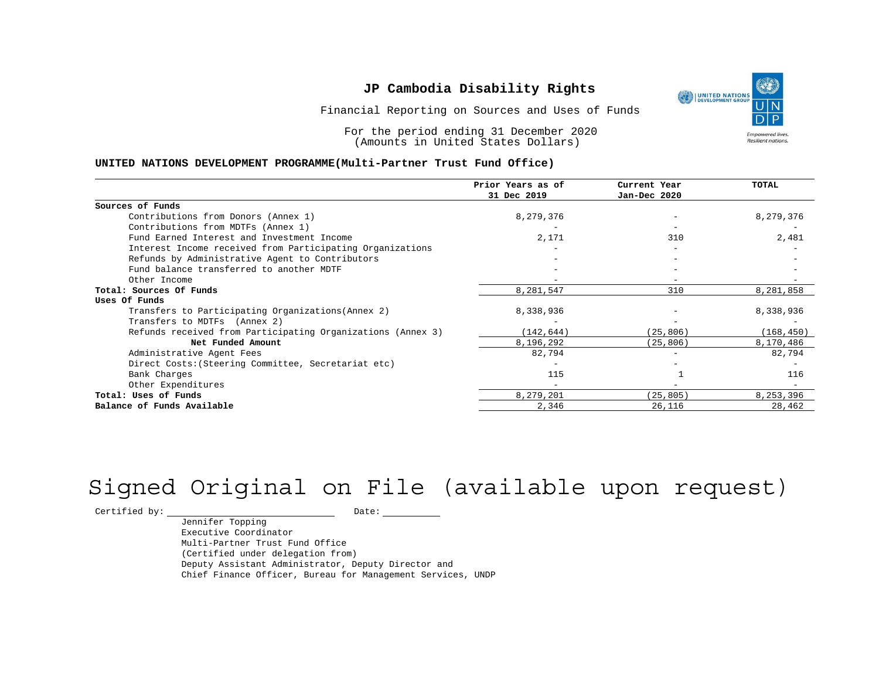Financial Reporting on Sources and Uses of Funds

For the period ending 31 December 2020 (Amounts in United States Dollars)

#### **UNITED NATIONS DEVELOPMENT PROGRAMME(Multi-Partner Trust Fund Office)**

|                                                             | Prior Years as of<br>31 Dec 2019 | Current Year<br>Jan-Dec 2020 | <b>TOTAL</b> |
|-------------------------------------------------------------|----------------------------------|------------------------------|--------------|
|                                                             |                                  |                              |              |
| Sources of Funds                                            |                                  |                              |              |
| Contributions from Donors (Annex 1)                         | 8,279,376                        | -                            | 8,279,376    |
| Contributions from MDTFs (Annex 1)                          |                                  |                              |              |
| Fund Earned Interest and Investment Income                  | 2,171                            | 310                          | 2,481        |
| Interest Income received from Participating Organizations   |                                  | $-$                          |              |
| Refunds by Administrative Agent to Contributors             |                                  |                              |              |
| Fund balance transferred to another MDTF                    |                                  |                              |              |
| Other Income                                                |                                  | $-$                          |              |
| Total: Sources Of Funds                                     | 8,281,547                        | 310                          | 8,281,858    |
| Uses Of Funds                                               |                                  |                              |              |
| Transfers to Participating Organizations (Annex 2)          | 8,338,936                        |                              | 8,338,936    |
| Transfers to MDTFs (Annex 2)                                |                                  |                              |              |
| Refunds received from Participating Organizations (Annex 3) | (142, 644)                       | (25, 806)                    | (168, 450)   |
| Net Funded Amount                                           | 8,196,292                        | (25, 806)                    | 8,170,486    |
| Administrative Agent Fees                                   | 82,794                           | -                            | 82,794       |
| Direct Costs: (Steering Committee, Secretariat etc)         |                                  |                              |              |
| Bank Charges                                                | 115                              |                              | 116          |
| Other Expenditures                                          |                                  |                              |              |
| Total: Uses of Funds                                        | 8,279,201                        | (25, 805)                    | 8,253,396    |
| Balance of Funds Available                                  | 2,346                            | 26,116                       | 28,462       |

# Signed Original on File (available upon request)

 $\begin{tabular}{c} \multicolumn{2}{c}{{\texttt{Certified by:}}}} \quad \quad \texttt{Date:} \end{tabular}$ 

Jennifer Topping Executive Coordinator Multi-Partner Trust Fund Office (Certified under delegation from) Deputy Assistant Administrator, Deputy Director and Chief Finance Officer, Bureau for Management Services, UNDP

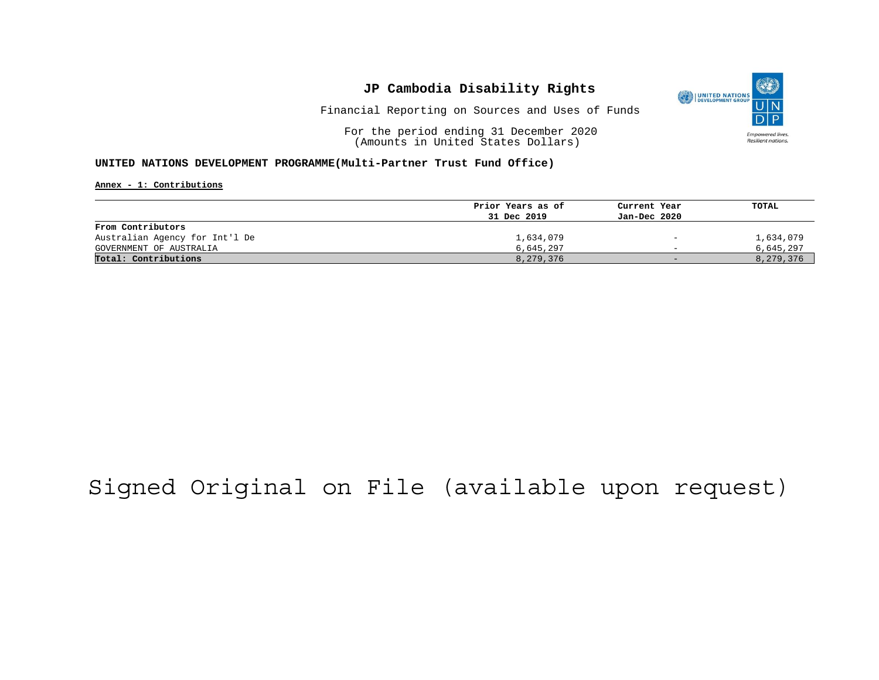

Financial Reporting on Sources and Uses of Funds

For the period ending 31 December 2020 (Amounts in United States Dollars)

#### **UNITED NATIONS DEVELOPMENT PROGRAMME(Multi-Partner Trust Fund Office)**

**Annex - 1: Contributions**

|                                | Prior Years as of | Current Year             | TOTAL     |
|--------------------------------|-------------------|--------------------------|-----------|
|                                | 31 Dec 2019       | Jan-Dec 2020             |           |
| From Contributors              |                   |                          |           |
| Australian Agency for Int'l De | 1,634,079         | $\overline{\phantom{a}}$ | 1,634,079 |
| GOVERNMENT OF AUSTRALIA        | 6,645,297         | $\overline{\phantom{0}}$ | 6,645,297 |
| Total: Contributions           | 8,279,376         | $-$                      | 8,279,376 |

## Signed Original on File (available upon request)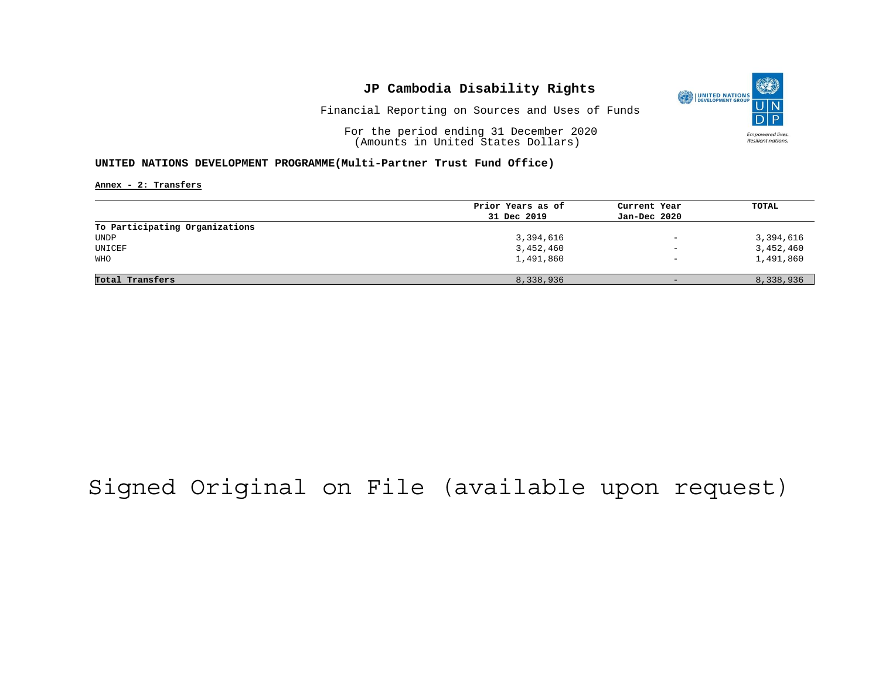

Financial Reporting on Sources and Uses of Funds

For the period ending 31 December 2020 (Amounts in United States Dollars)

#### **UNITED NATIONS DEVELOPMENT PROGRAMME(Multi-Partner Trust Fund Office)**

**Annex - 2: Transfers**

|                                | Prior Years as of | Current Year             | TOTAL     |
|--------------------------------|-------------------|--------------------------|-----------|
|                                | 31 Dec 2019       | Jan-Dec 2020             |           |
| To Participating Organizations |                   |                          |           |
| UNDP                           | 3,394,616         | $\overline{\phantom{m}}$ | 3,394,616 |
| UNICEF                         | 3,452,460         | $\qquad \qquad -$        | 3,452,460 |
| WHO                            | 1,491,860         | $\overline{\phantom{0}}$ | 1,491,860 |
|                                |                   |                          |           |
| Total Transfers                | 8,338,936         | $-$                      | 8,338,936 |

## Signed Original on File (available upon request)